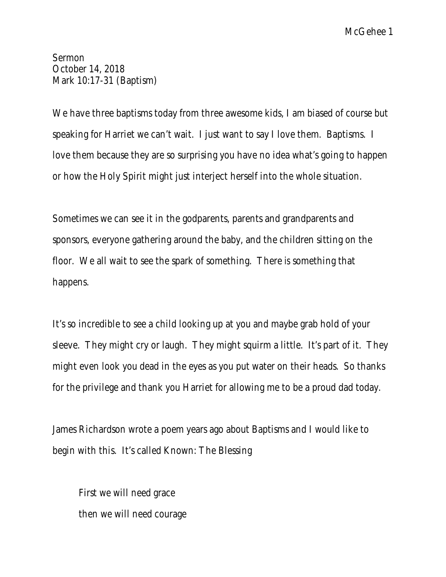McGehee 1

Sermon October 14, 2018 Mark 10:17-31 (Baptism)

We have three baptisms today from three awesome kids, I am biased of course but speaking for Harriet we can't wait. I just want to say I love them. Baptisms. I love them because they are so surprising you have no idea what's going to happen or how the Holy Spirit might just interject herself into the whole situation.

Sometimes we can see it in the godparents, parents and grandparents and sponsors, everyone gathering around the baby, and the children sitting on the floor. We all wait to see the spark of something. There *is* something that happens.

It's so incredible to see a child looking up at you and maybe grab hold of your sleeve. They might cry or laugh. They might squirm a little. It's part of it. They might even look you dead in the eyes as you put water on their heads. So thanks for the privilege and thank you Harriet for allowing me to be a proud dad today.

James Richardson wrote a poem years ago about Baptisms and I would like to begin with this. It's called Known: The Blessing

First we will need grace then we will need courage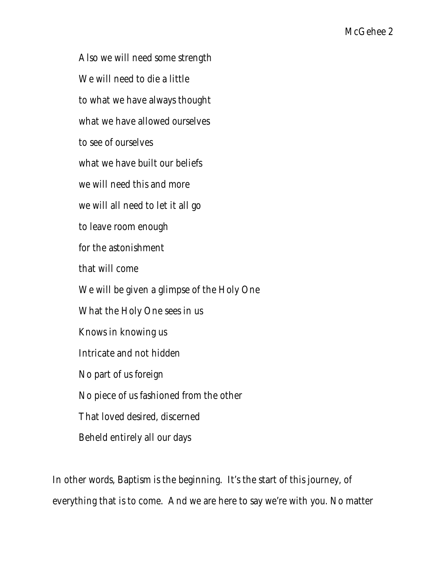Also we will need some strength

We will need to die a little

to what we have always thought

what we have allowed ourselves

to see of ourselves

what we have built our beliefs

we will need this and more

we will all need to let it all go

to leave room enough

for the astonishment

that will come

We will be given a glimpse of the Holy One

What the Holy One sees in us

Knows in knowing us

Intricate and not hidden

No part of us foreign

No piece of us fashioned from the other

That loved desired, discerned

Beheld entirely all our days

In other words, Baptism is the beginning. It's the start of this journey, of everything that is to come. And we are here to say we're with you. No matter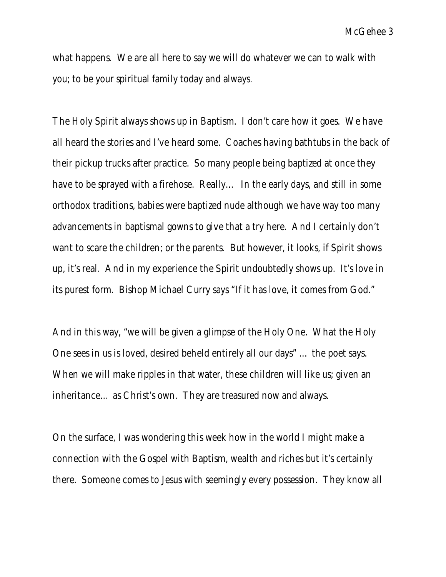what happens. We are all here to say we will do whatever we can to walk with you; to be your spiritual family today and always.

The Holy Spirit always shows up in Baptism. I don't care how it goes. We have all heard the stories and I've heard some. Coaches having bathtubs in the back of their pickup trucks after practice. So many people being baptized at once they have to be sprayed with a firehose. Really… In the early days, and still in some orthodox traditions, babies were baptized nude although we have way too many advancements in baptismal gowns to give that a try here. And I certainly don't want to scare the children; or the parents. But however, it looks, if Spirit shows up, it's real. And in my experience the Spirit undoubtedly shows up. It's love in its purest form. Bishop Michael Curry says "If it has love, it comes from God."

And in this way, "we will be given a glimpse of the Holy One. What the Holy One sees in us is loved, desired beheld entirely all our days" … the poet says. When we will make ripples in that water, these children will like us; given an inheritance… as Christ's own. They are treasured now and always.

On the surface, I was wondering this week how in the world I might make a connection with the Gospel with Baptism, wealth and riches but it's certainly there. Someone comes to Jesus with seemingly every possession. They know all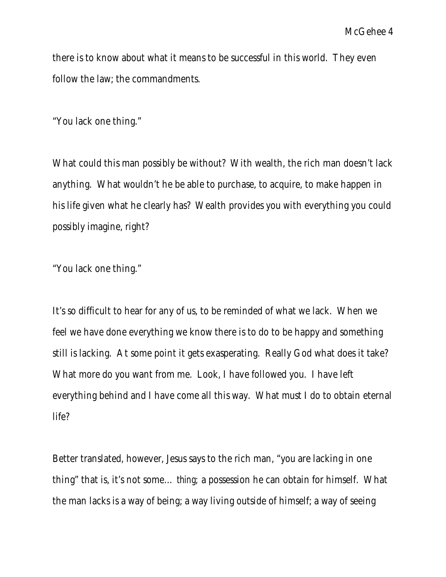there is to know about what it means to be successful in this world. They even follow the law; the commandments.

"You lack one thing."

What could this man possibly be without? With wealth, the rich man doesn't lack anything. What wouldn't he be able to purchase, to acquire, to make happen in his life given what he clearly has? Wealth provides you with everything you could possibly imagine, right?

"You lack one thing."

It's so difficult to hear for any of us, to be reminded of what we lack. When we feel we have done everything we know there is to do to be happy and something still is lacking. At some point it gets exasperating. Really God what does it take? What more do you want from me. Look, I have followed you. I have left everything behind and I have come all this way. What must I do to obtain eternal life?

Better translated, however, Jesus says to the rich man, "you are lacking in one thing" that is, it's not some… *thing;* a possession he can obtain for himself. What the man lacks is a way of being; a way living outside of himself; a way of seeing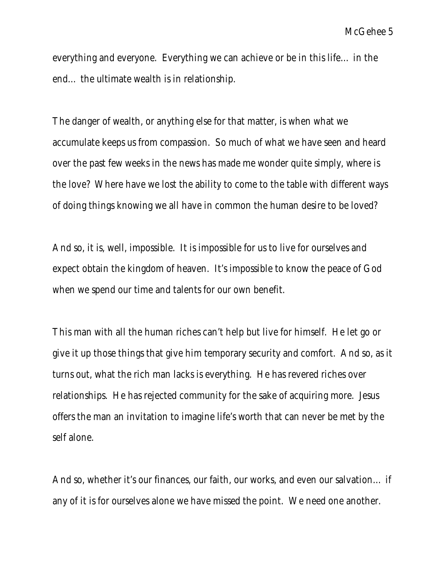everything and everyone. Everything we can achieve or be in this life… in the end… the ultimate wealth is in relationship.

The danger of wealth, or anything else for that matter, is when what we accumulate keeps us from compassion. So much of what we have seen and heard over the past few weeks in the news has made me wonder quite simply, where is the love? Where have we lost the ability to come to the table with different ways of doing things knowing we all have in common the human desire to be loved?

And so, it is, well, impossible. It is impossible for us to live for ourselves and expect obtain the kingdom of heaven. It's impossible to know the peace of God when we spend our time and talents for our own benefit.

This man with all the human riches can't help but live for himself. He let go or give it up those things that give him temporary security and comfort. And so, as it turns out, what the rich man lacks is everything. He has revered riches over relationships. He has rejected community for the sake of acquiring more. Jesus offers the man an invitation to imagine life's worth that can never be met by the self alone.

And so, whether it's our finances, our faith, our works, and even our salvation… if any of it is for ourselves alone we have missed the point. We need one another.